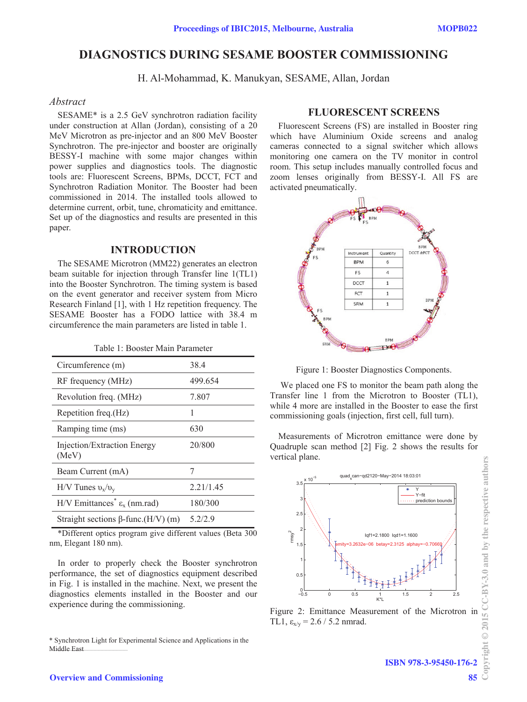# **DIAGNOSTICS DURING SESAME BOOSTER COMMISSIONING**

H. Al-Mohammad, K. Manukyan, SESAME, Allan, Jordan

# *Abstract*

SESAME\* is a 2.5 GeV synchrotron radiation facility under construction at Allan (Jordan), consisting of a 20 MeV Microtron as pre-injector and an 800 MeV Booster Synchrotron. The pre-injector and booster are originally BESSY-I machine with some major changes within power supplies and diagnostics tools. The diagnostic tools are: Fluorescent Screens, BPMs, DCCT, FCT and Synchrotron Radiation Monitor. The Booster had been commissioned in 2014. The installed tools allowed to determine current, orbit, tune, chromaticity and emittance. Set up of the diagnostics and results are presented in this paper.

### **INTRODUCTION**

The SESAME Microtron (MM22) generates an electron beam suitable for injection through Transfer line 1(TL1) into the Booster Synchrotron. The timing system is based on the event generator and receiver system from Micro Research Finland [1], with 1 Hz repetition frequency. The SESAME Booster has a FODO lattice with 38.4 m circumference the main parameters are listed in table 1.

|  |  |  | Table 1: Booster Main Parameter |
|--|--|--|---------------------------------|
|--|--|--|---------------------------------|

| Circumference (m)                                               | 38.4      |
|-----------------------------------------------------------------|-----------|
| RF frequency (MHz)                                              | 499.654   |
| Revolution freq. (MHz)                                          | 7.807     |
| Repetition freq. (Hz)                                           |           |
| Ramping time (ms)                                               | 630       |
| Injection/Extraction Energy<br>(MeV)                            | 20/800    |
| Beam Current (mA)                                               |           |
| $H/V$ Tunes $v_x/v_y$                                           | 2.21/1.45 |
| H/V Emittances <sup>*</sup> $\varepsilon$ <sub>x</sub> (nm.rad) | 180/300   |
| Straight sections $\beta$ -func.(H/V) (m)                       | 5.2/2.9   |

\*Different optics program give different values (Beta 300 nm, Elegant 180 nm).

In order to properly check the Booster synchrotron performance, the set of diagnostics equipment described in Fig. 1 is installed in the machine. Next, we present the diagnostics elements installed in the Booster and our experience during the commissioning.

 \_\_\_\_\_\_\_\_\_\_\_\_\_\_\_\_\_\_\_\_\_\_\_\_\_\_\_\_\_\_\_\_\_\_\_\_\_\_\_\_\_\_\_ Middle East \* Synchrotron Light for Experimental Science and Applications in the

## **FLUORESCENT SCREENS**

Fluorescent Screens (FS) are installed in Booster ring which have Aluminium Oxide screens and analog cameras connected to a signal switcher which allows monitoring one camera on the TV monitor in control room. This setup includes manually controlled focus and zoom lenses originally from BESSY-I. All FS are activated pneumatically.



Figure 1: Booster Diagnostics Components.

 We placed one FS to monitor the beam path along the Transfer line 1 from the Microtron to Booster (TL1), while 4 more are installed in the Booster to ease the first commissioning goals (injection, first cell, full turn).

Measurements of Microtron emittance were done by Quadruple scan method [2] Fig. 2 shows the results for vertical plane.



Figure 2: Emittance Measurement of the Microtron in TL1,  $\varepsilon_{x/y} = 2.6 / 5.2$  nmrad.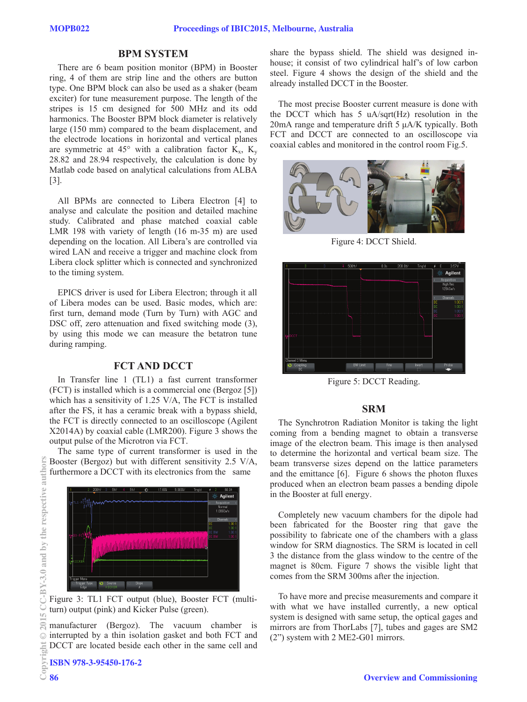### **BPM SYSTEM**

There are 6 beam position monitor (BPM) in Booster ring, 4 of them are strip line and the others are button type. One BPM block can also be used as a shaker (beam exciter) for tune measurement purpose. The length of the stripes is 15 cm designed for 500 MHz and its odd harmonics. The Booster BPM block diameter is relatively large (150 mm) compared to the beam displacement, and the electrode locations in horizontal and vertical planes are symmetric at 45° with a calibration factor  $K_x$ ,  $K_y$ 28.82 and 28.94 respectively, the calculation is done by Matlab code based on analytical calculations from ALBA [3].

All BPMs are connected to Libera Electron [4] to analyse and calculate the position and detailed machine study. Calibrated and phase matched coaxial cable LMR 198 with variety of length (16 m-35 m) are used depending on the location. All Libera's are controlled via wired LAN and receive a trigger and machine clock from Libera clock splitter which is connected and synchronized to the timing system.

EPICS driver is used for Libera Electron; through it all of Libera modes can be used. Basic modes, which are: first turn, demand mode (Turn by Turn) with AGC and DSC off, zero attenuation and fixed switching mode (3), by using this mode we can measure the betatron tune during ramping.

# **FCT AND DCCT**

In Transfer line 1 (TL1) a fast current transformer (FCT) is installed which is a commercial one (Bergoz [5]) which has a sensitivity of 1.25 V/A, The FCT is installed after the FS, it has a ceramic break with a bypass shield, the FCT is directly connected to an oscilloscope (Agilent X2014A) by coaxial cable (LMR200). Figure 3 shows the output pulse of the Microtron via FCT.

The same type of current transformer is used in the Booster (Bergoz) but with different sensitivity 2.5 V/A, furthermore a DCCT with its electronics from the same



Figure 3: TL1 FCT output (blue), Booster FCT (multiturn) output (pink) and Kicker Pulse (green).

manufacturer (Bergoz). The vacuum chamber is interrupted by a thin isolation gasket and both FCT and DCCT are located beside each other in the same cell and share the bypass shield. The shield was designed inhouse; it consist of two cylindrical half's of low carbon steel. Figure 4 shows the design of the shield and the already installed DCCT in the Booster.

The most precise Booster current measure is done with the DCCT which has 5 uA/sqrt(Hz) resolution in the  $20mA$  range and temperature drift  $5 \mu A/K$  typically. Both FCT and DCCT are connected to an oscilloscope via coaxial cables and monitored in the control room Fig.5.



Figure 4: DCCT Shield.



Figure 5: DCCT Reading.

#### **SRM**

The Synchrotron Radiation Monitor is taking the light coming from a bending magnet to obtain a transverse image of the electron beam. This image is then analysed to determine the horizontal and vertical beam size. The beam transverse sizes depend on the lattice parameters and the emittance [6]. Figure 6 shows the photon fluxes produced when an electron beam passes a bending dipole in the Booster at full energy.

Completely new vacuum chambers for the dipole had been fabricated for the Booster ring that gave the possibility to fabricate one of the chambers with a glass window for SRM diagnostics. The SRM is located in cell 3 the distance from the glass window to the centre of the magnet is 80cm. Figure 7 shows the visible light that comes from the SRM 300ms after the injection.

To have more and precise measurements and compare it with what we have installed currently, a new optical system is designed with same setup, the optical gages and mirrors are from ThorLabs [7], tubes and gages are SM2 (2") system with 2 ME2-G01 mirrors.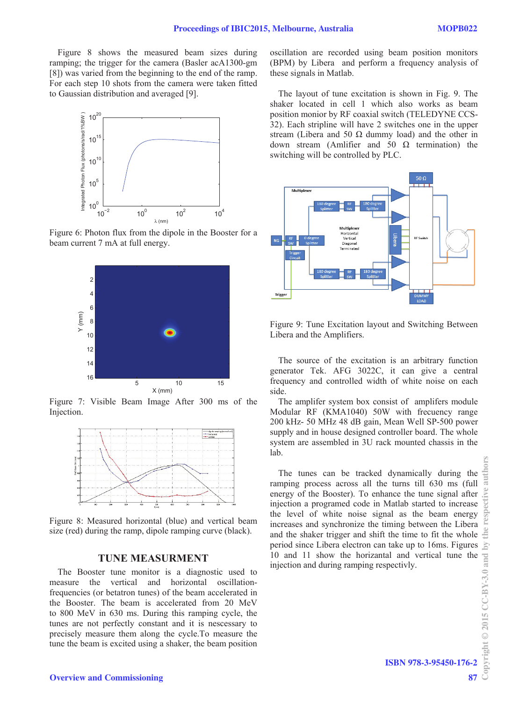Figure 8 shows the measured beam sizes during ramping; the trigger for the camera (Basler acA1300-gm [8]) was varied from the beginning to the end of the ramp. For each step 10 shots from the camera were taken fitted to Gaussian distribution and averaged [9].



Figure 6: Photon flux from the dipole in the Booster for a beam current 7 mA at full energy.



Figure 7: Visible Beam Image After 300 ms of the Injection.



Figure 8: Measured horizontal (blue) and vertical beam size (red) during the ramp, dipole ramping curve (black).

### **TUNE MEASURMENT**

The Booster tune monitor is a diagnostic used to measure the vertical and horizontal oscillationfrequencies (or betatron tunes) of the beam accelerated in the Booster. The beam is accelerated from 20 MeV to 800 MeV in 630 ms. During this ramping cycle, the tunes are not perfectly constant and it is nescessary to precisely measure them along the cycle.To measure the tune the beam is excited using a shaker, the beam position oscillation are recorded using beam position monitors (BPM) by Libera and perform a frequency analysis of these signals in Matlab.

The layout of tune excitation is shown in Fig. 9. The shaker located in cell 1 which also works as beam position monior by RF coaxial switch (TELEDYNE CCS-32). Each stripline will have 2 switches one in the upper stream (Libera and 50  $\Omega$  dummy load) and the other in down stream (Amlifier and 50  $\Omega$  termination) the switching will be controlled by PLC.



Figure 9: Tune Excitation layout and Switching Between Libera and the Amplifiers.

The source of the excitation is an arbitrary function generator Tek. AFG 3022C, it can give a central frequency and controlled width of white noise on each side.

The amplifer system box consist of amplifers module Modular RF (KMA1040) 50W with frecuency range 200 kHz- 50 MHz 48 dB gain, Mean Well SP-500 power supply and in house designed controller board. The whole system are assembled in 3U rack mounted chassis in the lab.

The tunes can be tracked dynamically during the ramping process across all the turns till 630 ms (full energy of the Booster). To enhance the tune signal after injection a programed code in Matlab started to increase the level of white noise signal as the beam energy increases and synchronize the timing between the Libera and the shaker trigger and shift the time to fit the whole period since Libera electron can take up to 16ms. Figures 10 and 11 show the horizantal and vertical tune the relation and during ramping respectivly.<br>
injection and during ramping respectivly.<br>  $\frac{500}{100}$ <br>  $\frac{100}{100}$ <br>  $\frac{100}{100}$ <br>  $\frac{100}{100}$ <br>  $\frac{100}{100}$ <br>  $\frac{100}{1$ injection and during ramping respectivly.